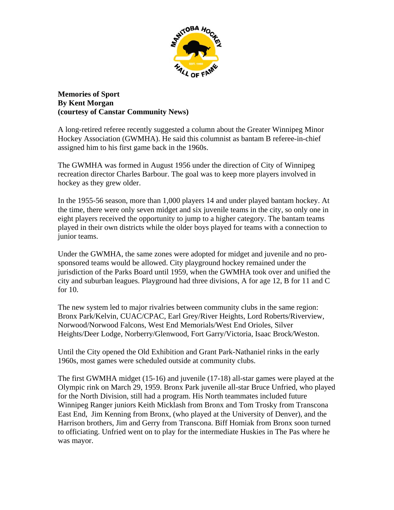

**Memories of Sport By Kent Morgan (courtesy of Canstar Community News)** 

A long-retired referee recently suggested a column about the Greater Winnipeg Minor Hockey Association (GWMHA). He said this columnist as bantam B referee-in-chief assigned him to his first game back in the 1960s.

The GWMHA was formed in August 1956 under the direction of City of Winnipeg recreation director Charles Barbour. The goal was to keep more players involved in hockey as they grew older.

In the 1955-56 season, more than 1,000 players 14 and under played bantam hockey. At the time, there were only seven midget and six juvenile teams in the city, so only one in eight players received the opportunity to jump to a higher category. The bantam teams played in their own districts while the older boys played for teams with a connection to junior teams.

Under the GWMHA, the same zones were adopted for midget and juvenile and no prosponsored teams would be allowed. City playground hockey remained under the jurisdiction of the Parks Board until 1959, when the GWMHA took over and unified the city and suburban leagues. Playground had three divisions, A for age 12, B for 11 and C for 10.

The new system led to major rivalries between community clubs in the same region: Bronx Park/Kelvin, CUAC/CPAC, Earl Grey/River Heights, Lord Roberts/Riverview, Norwood/Norwood Falcons, West End Memorials/West End Orioles, Silver Heights/Deer Lodge, Norberry/Glenwood, Fort Garry/Victoria, Isaac Brock/Weston.

Until the City opened the Old Exhibition and Grant Park-Nathaniel rinks in the early 1960s, most games were scheduled outside at community clubs.

The first GWMHA midget (15-16) and juvenile (17-18) all-star games were played at the Olympic rink on March 29, 1959. Bronx Park juvenile all-star Bruce Unfried, who played for the North Division, still had a program. His North teammates included future Winnipeg Ranger juniors Keith Micklash from Bronx and Tom Trosky from Transcona East End, Jim Kenning from Bronx, (who played at the University of Denver), and the Harrison brothers, Jim and Gerry from Transcona. Biff Homiak from Bronx soon turned to officiating. Unfried went on to play for the intermediate Huskies in The Pas where he was mayor.